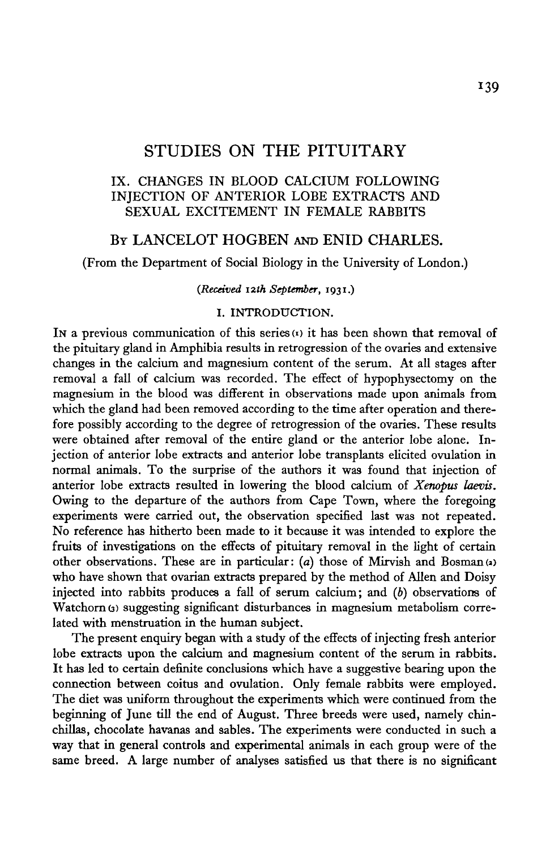# STUDIES ON THE PITUITARY

## IX. CHANGES IN BLOOD CALCIUM FOLLOWING INJECTION OF ANTERIOR LOBE EXTRACTS AND SEXUAL EXCITEMENT IN FEMALE RABBITS

## BY LANCELOT HOGBEN AND ENID CHARLES.

(From the Department of Social Biology in the University of London.)

*(Received 12th September,* **1931.)**

## I. INTRODUCTION.

In a previous communication of this series  $(x)$  it has been shown that removal of the pituitary gland in Amphibia results in retrogression of the ovaries and extensive changes in the calcium and magnesium content of the serum. At all stages after removal a fall of calcium was recorded. The effect of hypophysectomy on the magnesium in the blood was different in observations made upon animals from which the gland had been removed according to the time after operation and therefore possibly according to the degree of retrogression of the ovaries. These results were obtained after removal of the entire gland or the anterior lobe alone. Injection of anterior lobe extracts and anterior lobe transplants elicited ovulation in normal animals. To the surprise of the authors it was found that injection of anterior lobe extracts resulted in lowering the blood calcium of *Xenopus laevis.* Owing to the departure of the authors from Cape Town, where the foregoing experiments were carried out, the observation specified last was not repeated. No reference has hitherto been made to it because it was intended to explore the fruits of investigations on the effects of pituitary removal in the light of certain other observations. These are in particular: (a) those of Mirvish and Bosman<sup>(a)</sup> who have shown that ovarian extracts prepared by the method of Allen and Doisy injected into rabbits produces a fall of serum calcium; and *(b)* observations of Watchorn (3) suggesting significant disturbances in magnesium metabolism correlated with menstruation in the human subject.

The present enquiry began with a study of the effects of injecting fresh anterior lobe extracts upon the calcium and magnesium content of the serum in rabbits. It has led to certain definite conclusions which have a suggestive bearing upon the connection between coitus and ovulation. Only female rabbits were employed. The diet was uniform throughout the experiments which were continued from the beginning of June till the end of August. Three breeds were used, namely chinchillas, chocolate havanas and sables. The experiments were conducted in such a way that in general controls and experimental animals in each group were of the same breed. A large number of analyses satisfied us that there is no significant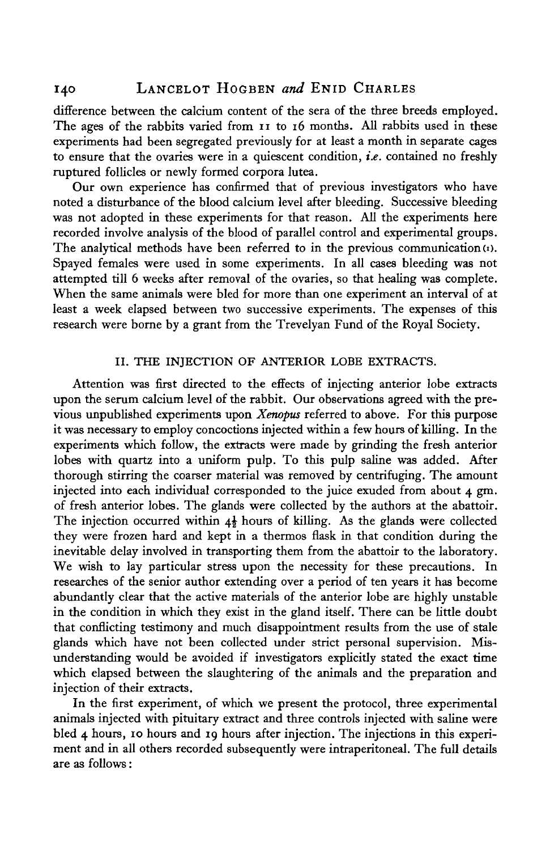## 140 LANCELOT HOGBEN *and* ENID CHARLES

difference between the calcium content of the sera of the three breeds employed. The ages of the rabbits varied from 11 to 16 months. All rabbits used in these experiments had been segregated previously for at least a month in separate cages to ensure that the ovaries were in a quiescent condition, *i.e.* contained no freshly ruptured follicles or newly formed corpora lutea.

Our own experience has confirmed that of previous investigators who have noted a disturbance of the blood calcium level after bleeding. Successive bleeding was not adopted in these experiments for that reason. All the experiments here recorded involve analysis of the blood of parallel control and experimental groups. The analytical methods have been referred to in the previous communication  $(u)$ . Spayed females were used in some experiments. In all cases bleeding was not attempted till 6 weeks after removal of the ovaries, so that healing was complete. When the same animals were bled for more than one experiment an interval of at least a week elapsed between two successive experiments. The expenses of this research were borne by a grant from the Trevelyan Fund of the Royal Society.

### II. THE INJECTION OF ANTERIOR LOBE EXTRACTS.

Attention was first directed to the effects of injecting anterior lobe extracts upon the serum calcium level of the rabbit. Our observations agreed with the previous unpublished experiments upon *Xenopus* referred to above. For this purpose it was necessary to employ concoctions injected within a few hours of killing. In the experiments which follow, the extracts were made by grinding the fresh anterior lobes with quartz into a uniform pulp. To this pulp saline was added. After thorough stirring the coarser material was removed by centrifuging. The amount injected into each individual corresponded to the juice exuded from about 4 gm. of fresh anterior lobes. The glands were collected by the authors at the abattoir. The injection occurred within  $4\frac{1}{2}$  hours of killing. As the glands were collected they were frozen hard and kept in a thermos flask in that condition during the inevitable delay involved in transporting them from the abattoir to the laboratory. We wish to lay particular stress upon the necessity for these precautions. In researches of the senior author extending over a period of ten years it has become abundantly clear that the active materials of the anterior lobe are highly unstable in the condition in which they exist in the gland itself. There can be little doubt that conflicting testimony and much disappointment results from the use of stale glands which have not been collected under strict personal supervision. Misunderstanding would be avoided if investigators explicitly stated the exact time which elapsed between the slaughtering of the animals and the preparation and injection of their extracts.

In the first experiment, of which we present the protocol, three experimental animals injected with pituitary extract and three controls injected with saline were bled 4 hours, 10 hours and 19 hours after injection. The injections in this experiment and in all others recorded subsequently were intraperitoneal. The full details are as follows: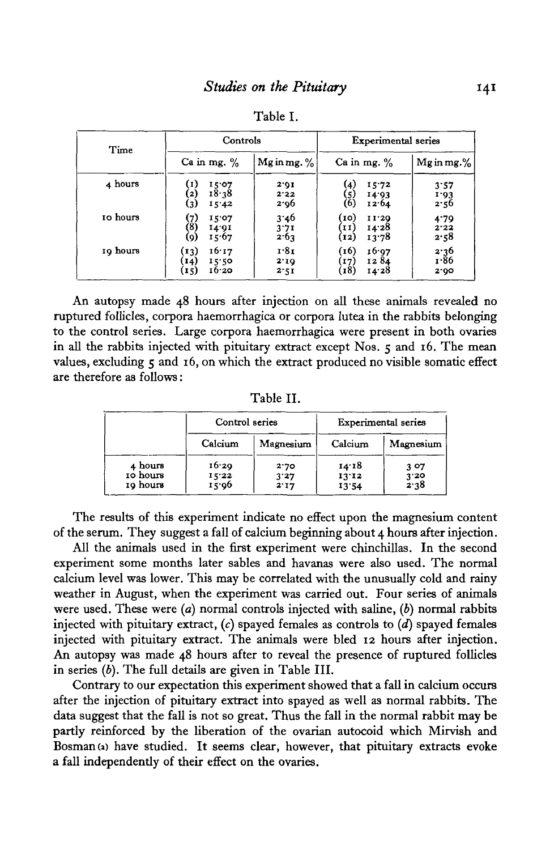| Time     | Controls                                                     |                      | Experimental series                                          |                        |
|----------|--------------------------------------------------------------|----------------------|--------------------------------------------------------------|------------------------|
|          | Ca in mg. $%$                                                | Mg in mg. $\%$       | Ca in mg. $%$                                                | $Mg$ in mg.%           |
| 4 hours  | 15.07<br>18.38<br>$\mathbf{z}$<br>$\left( 3\right)$<br>15'42 | 2.01<br>2.22<br>2.96 | (4)<br>15.72<br>[5]<br>(6)<br>14.93<br>12.64                 | 3:57<br>1.93<br>2.56   |
| 10 hours | (7)<br>(8)<br>15.07<br>14.91<br>15.67<br>(9)                 | 3.46<br>3.71<br>2.63 | [10]<br>11'20<br>$\left[11\right]$<br>14.28<br>13.78<br>[12] | 4.79<br>2.22<br>2.58   |
| 19 hours | 16.17<br>(13)<br>[14]<br>15.50<br>16.20<br>(15)              | 1.81<br>2'10<br>2.51 | (16)<br>16.97<br>1284<br>17)<br>(18)<br>14.28                | $2.36$<br>1.86<br>2.00 |

Table I.

An autopsy made 48 hours after injection on all these animals revealed no ruptured follicles, corpora haemorrhagica or corpora lutea in the rabbits belonging to the control series. Large corpora haemorrhagica were present in both ovaries in all the rabbits injected with pituitary extract except Nos. 5 and 16. The mean values, excluding  $\zeta$  and 16, on which the extract produced no visible somatic effect are therefore as follows:

Table II.

|                                 | Control series          |                      | Experimental series     |                          |
|---------------------------------|-------------------------|----------------------|-------------------------|--------------------------|
|                                 | Calcium                 | Magnesium            | Calcium                 | Magnesium                |
| 4 hours<br>10 hours<br>10 hours | 16.29<br>15.22<br>15.96 | 2.70<br>3'27<br>2:17 | 14.18<br>13'12<br>13:54 | 3 07<br>$3'20$<br>$2'38$ |

The results of this experiment indicate no effect upon the magnesium content of the serum. They suggest a fall of calcium beginning about 4 hours after injection.

All the animals used in the first experiment were chinchillas. In the second experiment some months later sables and havanas were also used. The normal calcium level was lower. This may be correlated with the unusually cold and rainy weather in August, when the experiment was carried out. Four series of animals were used. These were *(a)* normal controls injected with saline, *(b)* normal rabbits injected with pituitary extract, (c) spayed females as controls to *(d)* spayed females injected with pituitary extract. The animals were bled 12 hours after injection. An autopsy was made 48 hours after to reveal the presence of ruptured follicles in series *(b).* The full details are given in Table III.

Contrary to our expectation this experiment showed that a fall in calcium occurs after the injection of pituitary extract into spayed as well as normal rabbits. The data suggest that the fall is not so great. Thus the fall in the normal rabbit may be partly reinforced by the liberation of the ovarian autocoid which Mirvish and Bosman (a) have studied. It seems clear, however, that pituitary extracts evoke a fall independently of their effect on the ovaries.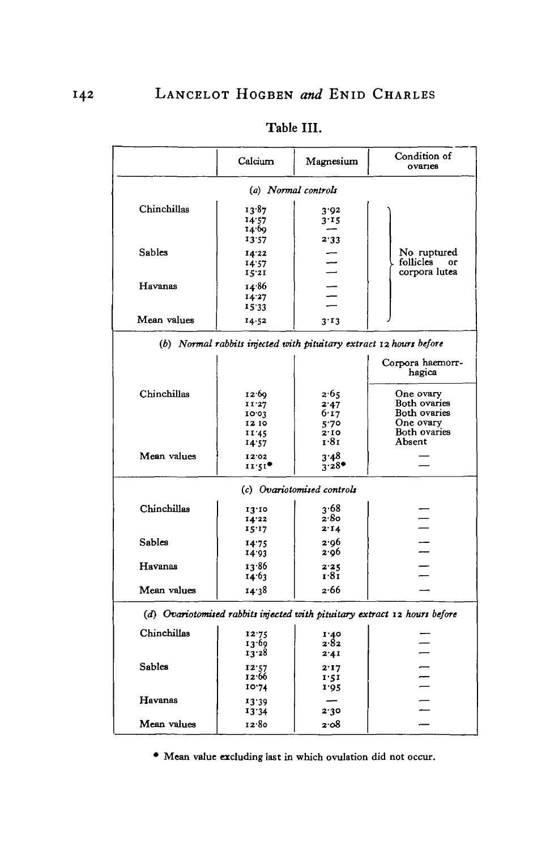|                                                                           | Calcium                                                            | Magnesium                                    | Condition of<br>ovaries                                                          |  |  |
|---------------------------------------------------------------------------|--------------------------------------------------------------------|----------------------------------------------|----------------------------------------------------------------------------------|--|--|
| (a) Normal controls                                                       |                                                                    |                                              |                                                                                  |  |  |
| Chinchillas                                                               | 13.87<br>14.57<br>14.69<br>13:57                                   | 3.92<br>3.15<br>2.33                         |                                                                                  |  |  |
| Sables                                                                    | 14.22<br>14.57<br>15.21                                            |                                              | No ruptured<br>follicles<br>oг<br>corpora lutea                                  |  |  |
| Havanas                                                                   | 14.86<br>14.27<br>15.33                                            |                                              |                                                                                  |  |  |
| Mean values                                                               | 14.52                                                              | 3.13                                         |                                                                                  |  |  |
|                                                                           | (b) Normal rabbits injected with pituitary extract 12 hours before |                                              |                                                                                  |  |  |
|                                                                           |                                                                    |                                              | Corpora haemorr-<br>hagica                                                       |  |  |
| Chinchillas                                                               | 12.69<br>11'27<br>10.03<br>12 10<br>11.45<br>14.57                 | 2.65<br>2.47<br>6.17<br>5.70<br>2.10<br>1.81 | One ovary<br>Both ovaries<br>Both ovaries<br>One ovary<br>Both ovaries<br>Absent |  |  |
| Mean values                                                               | 12.02<br>11.51                                                     | 3.48<br>$3.28$ <sup>*</sup>                  |                                                                                  |  |  |
|                                                                           |                                                                    | (c) Ovariotomised controls                   |                                                                                  |  |  |
| Chinchillas                                                               | 13.10<br>14.22<br>15:17                                            | 3.68<br>2.80<br>2.14                         |                                                                                  |  |  |
| Sables                                                                    | 14.75<br>14.93                                                     | 2.96<br>2.96                                 |                                                                                  |  |  |
| Havanas                                                                   | 13.86<br>14.63                                                     | 2.25<br>1.81                                 |                                                                                  |  |  |
| Mean values                                                               | 14:38                                                              | 2.66                                         |                                                                                  |  |  |
| (d) Ovariotomised rabbits injected with pituitary extract 12 hours before |                                                                    |                                              |                                                                                  |  |  |
| Chinchillas                                                               | 12.75<br>13.69<br>13.28                                            | 1.40<br>2.82<br>2.41                         |                                                                                  |  |  |
| Sables                                                                    | 12:57<br>12.66<br>10.74                                            | 2.17<br>1:51<br>1.95                         | $\equiv$                                                                         |  |  |
| Havanas                                                                   | 13.39<br>13.34                                                     | 2.30                                         |                                                                                  |  |  |
| Mean values                                                               | 12.80                                                              | 2.08                                         |                                                                                  |  |  |

# Table III.

• Mean value excluding last in which ovulation did not occur.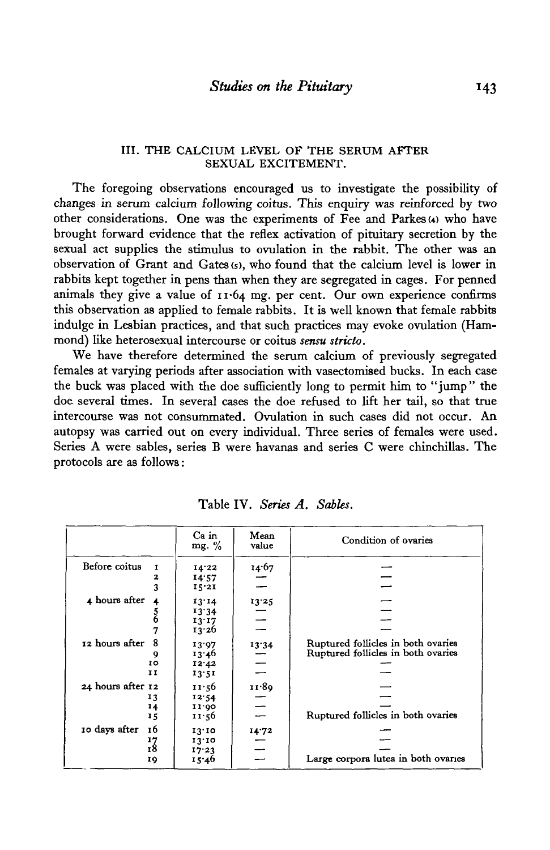### III. THE CALCIUM LEVEL OF THE SERUM AFTER SEXUAL EXCITEMENT.

The foregoing observations encouraged us to investigate the possibility of changes in serum calcium following coitus. This enquiry was reinforced by two other considerations. One was the experiments of  $\overline{F}$ ee and Parkes (4) who have brought forward evidence that the reflex activation of pituitary secretion by the sexual act supplies the stimulus to ovulation in the rabbit. The other was an observation of Grant and Gates (5), who found that the calcium level is lower in rabbits kept together in pens than when they are segregated in cages. For penned animals they give a value of 11-64 mg. per cent. Our own experience confirms this observation as applied to female rabbits. It is well known that female rabbits indulge in Lesbian practices, and that such practices may evoke ovulation (Hammond) like heterosexual intercourse or coitus *sensu stricto.*

We have therefore determined the serum calcium of previously segregated females at varying periods after association with vasectomised bucks. In each case the buck was placed with the doe sufficiently long to permit him to "jump" the doe several times. In several cases the doe refused to lift her tail, so that true intercourse was not consummated. Ovulation in such cases did not occur. An autopsy was carried out on every individual. Three series of females were used. Series A were sables, series B were havanas and series C were chinchillas. The protocols are as follows:

|                               | Ca in<br>mg. $%$ | Mean<br>value | Condition of ovaries                |
|-------------------------------|------------------|---------------|-------------------------------------|
| Before coitus<br>$\mathbf{I}$ | 14.22            | 14.67         |                                     |
| 2                             | 14.57            |               |                                     |
| 3                             | 15.21            |               |                                     |
| 4 hours after                 | 13.14            | 13.25         |                                     |
|                               | 13.34            |               |                                     |
| 5<br>6                        | 13:17            |               |                                     |
| 7                             | 13.26            |               |                                     |
| 8<br>12 hours after           | 13.97            | 13.34         | Ruptured follicles in both ovaries  |
| 9                             | 13.46            |               | Ruptured follicles in both ovaries  |
| 10                            | 12.42            |               |                                     |
| IΙ                            | 13.51            |               |                                     |
| 24 hours after 12             | 11:56            | 11.89         |                                     |
| 13                            | 12.54            |               |                                     |
| 14                            | 11.00            |               |                                     |
| 15                            | 11.56            |               | Ruptured follicles in both ovaries  |
| 10 days after<br>16           | 13.10            | 14.72         |                                     |
| $\frac{17}{18}$               | 13.10            |               |                                     |
|                               | 17.23            |               |                                     |
| 19                            | 15.46            |               | Large corpora lutea in both ovaries |

Table IV. *Series A. Sables.*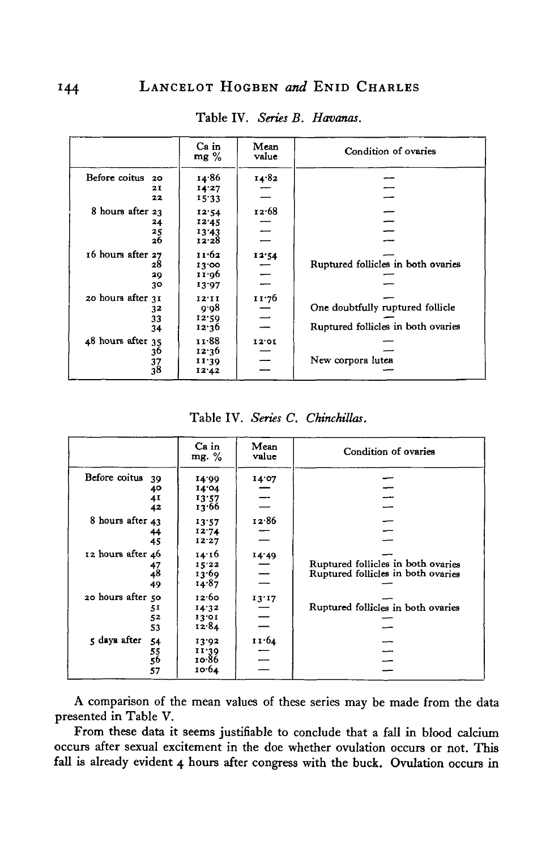|                     | Ca in<br>$mg\%$ | Mean<br>value | Condition of ovaries               |
|---------------------|-----------------|---------------|------------------------------------|
| Before coitus<br>20 | 14.86           | 14.82         |                                    |
| 21                  | 14.27           |               |                                    |
| 22                  | 15.33           |               |                                    |
| 8 hours after 23    | 12.54           | 12.68         |                                    |
| 24                  | 12.45           |               |                                    |
| 25                  | 13'43           |               |                                    |
| 26                  | 12.28           |               |                                    |
| 16 hours after 27   | 11.62           | 12.54         |                                    |
| 28                  | 13.00           |               | Ruptured follicles in both ovaries |
| 29                  | 11.06           |               |                                    |
| 30                  | 13.97           |               |                                    |
| 20 hours after 31   | 12'11           | 11.76         |                                    |
| 32                  | 9.08            |               | One doubtfully ruptured follicle   |
| 33                  | 12.59           |               |                                    |
| 34                  | 12.36           |               | Ruptured follicles in both ovaries |
| 48 hours after 35   | 11.88           | 12.01         |                                    |
| 36                  | 12.36           |               |                                    |
|                     | 11.39           |               | New corpora lutea                  |
| $\frac{37}{38}$     | 12.42           |               |                                    |

Table IV. Series B. Havanas.

Table IV. *Series C. Chinchillas.*

|                     | Ca in<br>mg. $\%$ | Mean<br>value | Condition of ovaries               |
|---------------------|-------------------|---------------|------------------------------------|
| Before coitus<br>39 | 14.99             | 14.07         |                                    |
| 40                  | 14.04             |               |                                    |
| 4I                  | 13:57             |               |                                    |
| 42                  | 13.66             |               |                                    |
| 8 hours after 43    | 13:57             | 12.86         |                                    |
| 44                  | 12.74             |               |                                    |
| 45                  | 12.27             |               |                                    |
| 12 hours after 46   | 14.16             | 14.49         |                                    |
| 47                  | 15.22             |               | Ruptured follicles in both ovaries |
| 48                  | 13.69             |               | Ruptured follicles in both ovaries |
| 49                  | 14.87             |               |                                    |
| 20 hours after 50   | 12.60             | 13.17         |                                    |
| 51                  | 14.32             |               | Ruptured follicles in both ovaries |
| 52                  | 13.01             |               |                                    |
| 53                  | 12.84             |               |                                    |
| 5 days after<br>54  | 13.92             | 11.64         |                                    |
|                     | 11.39             |               |                                    |
| 55<br>56            | 10.86             |               |                                    |
| 57                  | 10.64             |               |                                    |

A comparison of the mean values of these series may be made from the data presented in Table V.

From these data it seems justifiable to conclude that a fall in blood calcium occurs after sexual excitement in the doe whether ovulation occurs or not. This fall is already evident 4 hours after congress with the buck. Ovulation occurs in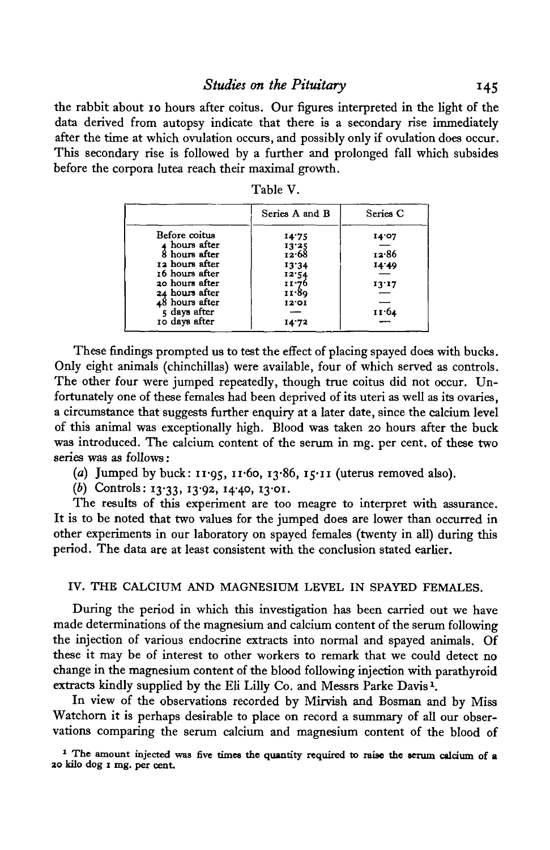the rabbit about 10 hours after coitus. Our figures interpreted in the light of the data derived from autopsy indicate that there is a secondary rise immediately after the time at which ovulation occurs, and possibly only if ovulation does occur. This secondary rise is followed by a further and prolonged fall which subsides before the corpora lutea reach their maximal growth.

|                | Series A and B | Series C |
|----------------|----------------|----------|
| Before coitus  | 14.75          | 14.07    |
| ∡ hours after  | 13'25          |          |
| 8 hours after  | 12.68          | 12.86    |
| 12 hours after | 13.34          | 14.49    |
| 16 hours after | 12.54          |          |
| 20 hours after | 11.76<br>11.89 | 13'17    |
| 24 hours after |                |          |
| 48 hours after | 12.01          |          |
| 5 days after   |                | 11.64    |
| 10 days after  | 14.72          |          |

Table V.

These findings prompted us to test the effect of placing spayed does with bucks. Only eight animals (chinchillas) were available, four of which served as controls. The other four were jumped repeatedly, though true coitus did not occur. Unfortunately one of these females had been deprived of its uteri as well as its ovaries, a circumstance that suggests further enquiry at a later date, since the calcium level of this animal was exceptionally high. Blood was taken 20 hours after the buck was introduced. The calcium content of the serum in mg. per cent, of these two series was as follows:

- (a) Jumped by buck:  $11.95$ ,  $11.60$ ,  $13.86$ ,  $15.11$  (uterus removed also).
- (b) Controls: 13<sup>.</sup>33, 13<sup>.</sup>92, 14<sup>.</sup>40, 13<sup>.</sup>01.

The results of this experiment are too meagre to interpret with assurance. It is to be noted that two values for the jumped does are lower than occurred in other experiments in our laboratory on spayed females (twenty in all) during this period. The data are at least consistent with the conclusion stated earlier.

### IV. THE CALCIUM AND MAGNESIUM LEVEL IN SPAYED FEMALES.

During the period in which this investigation has been carried out we have made determinations of the magnesium and calcium content of the serum following the injection of various endocrine extracts into normal and spayed animals. Of these it may be of interest to other workers to remark that we could detect no change in the magnesium content of the blood following injection with parathyroid extracts kindly supplied by the Eli Lilly Co. and Messrs Parke Davis *\*

In view of the observations recorded by Mirvish and Bosman and by Miss Watchorn it is perhaps desirable to place on record a summary of all our observations comparing the serum calcium and magnesium content of the blood of

**1 The amount injected was five times the quantity required to raise the serum calcium of a 30 kilo dog 1 mg. per cent.**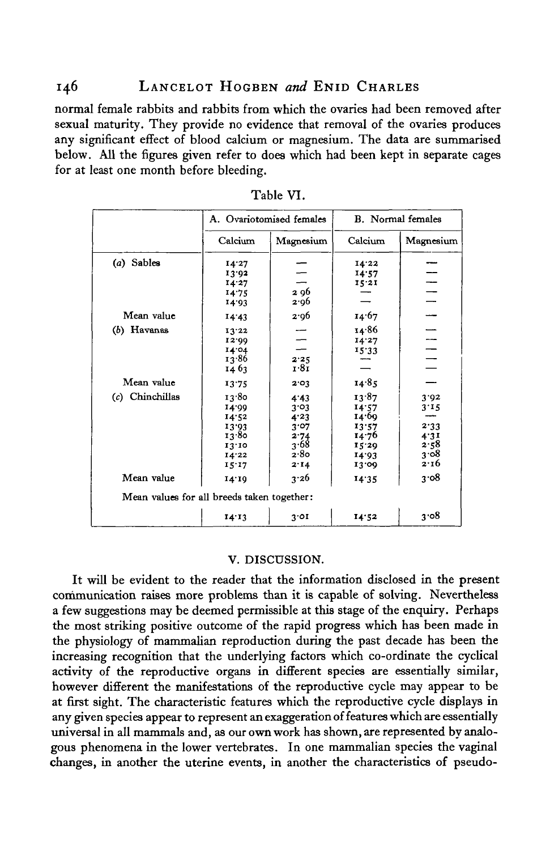normal female rabbits and rabbits from which the ovaries had been removed after sexual maturity. They provide no evidence that removal of the ovaries produces any significant effect of blood calcium or magnesium. The data are summarised below. All the figures given refer to does which had been kept in separate cages for at least one month before bleeding.

|                                            | A. Ovariotomised females |           | <b>B.</b> Normal females |                                  |
|--------------------------------------------|--------------------------|-----------|--------------------------|----------------------------------|
|                                            | Calcium                  | Magnesium | Calcium                  | Magnesium                        |
| (a) Sables                                 | 14.27                    |           | 14.22                    |                                  |
|                                            | 13.92                    |           | 14.57                    |                                  |
|                                            | 14.27                    |           | 15.21                    |                                  |
|                                            | 14.75                    | 2 96      |                          |                                  |
|                                            | 14.93                    | 2.96      |                          | $\frac{1}{1}$                    |
| Mean value                                 | 14.43                    | 2.96      | 14.67                    |                                  |
| $(b)$ Havanas                              | 13.22                    |           | 14∙86                    |                                  |
|                                            | 12.00                    |           | 14.27                    | $\frac{1}{\sqrt{1-\frac{1}{2}}}$ |
|                                            | 14.04                    |           | 15.33                    |                                  |
|                                            | 13.86                    | 2.25      |                          |                                  |
|                                            | 14 63                    | 1.81      |                          |                                  |
| Mean value                                 | 13.75                    | 2.03      | 14.85                    |                                  |
| (c) Chinchillas                            | 13.80                    | 4.43      | 13.87                    | 3.92                             |
|                                            | 14.99                    | 3.03      | 14.57                    | 3.15                             |
|                                            | 14.52                    | 4.23      | 14.60                    |                                  |
|                                            | 13.93                    | 3.07      | 13:57                    | 2.33                             |
|                                            | 13.80                    | 2.74      | 14.76                    | 4:31                             |
|                                            | 13.10                    | 3.68      | 15.29                    | 2.58                             |
|                                            | 14.22                    | 2.80      | 14.93                    | ვ∙ი8                             |
|                                            | 15'17                    | 2.14      | 13.00                    | 2.16                             |
| Mean value                                 | 14.10                    | 3.26      | 14:35                    | 3.08                             |
| Mean values for all breeds taken together: |                          |           |                          |                                  |
|                                            | 14.13                    | 3'01      | 14.52                    | 3.08                             |

Table VI.

#### V. DISCUSSION.

It will be evident to the reader that the information disclosed in the present communication raises more problems than it is capable of solving. Nevertheless a few suggestions may be deemed permissible at this stage of the enquiry. Perhaps the most striking positive outcome of the rapid progress which has been made in the physiology of mammalian reproduction during the past decade has been the increasing recognition that the underlying factors which co-ordinate the cyclical activity of the reproductive organs in different species are essentially similar, however different the manifestations of the reproductive cycle may appear to be at first sight. The characteristic features which the reproductive cycle displays in any given species appear to represent an exaggeration of features which are essentially universal in all mammals and, as our own work has shown, are represented by analogous phenomena in the lower vertebrates. In one mammalian species the vaginal changes, in another the uterine events, in another the characteristics of pseudo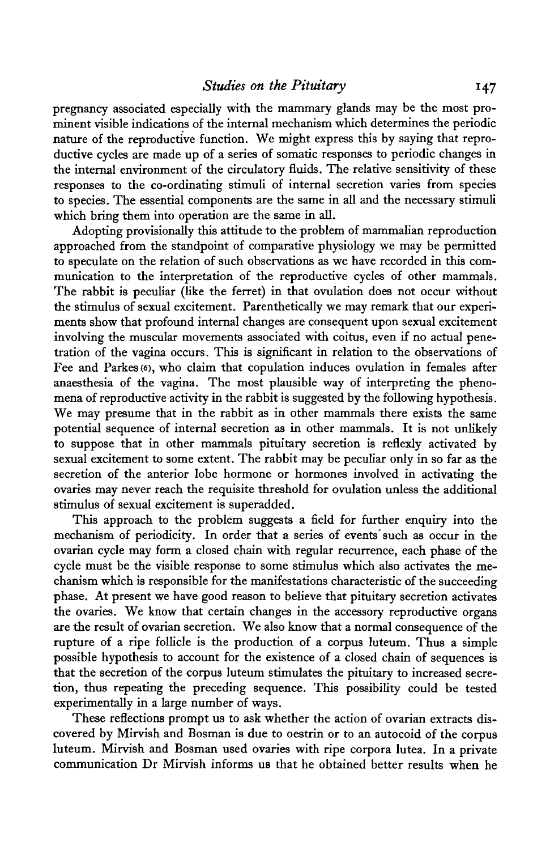pregnancy associated especially with the mammary glands may be the most prominent visible indications of the internal mechanism which determines the periodic nature of the reproductive function. We might express this by saying that reproductive cycles are made up of a series of somatic responses to periodic changes in the internal environment of the circulatory fluids. The relative sensitivity of these responses to the co-ordinating stimuli of internal secretion varies from species to species. The essential components are the same in all and the necessary stimuli which bring them into operation are the same in all.

Adopting provisionally this attitude to the problem of mammalian reproduction approached from the standpoint of comparative physiology we may be permitted to speculate on the relation of such observations as we have recorded in this communication to the interpretation of the reproductive cycles of other mammals. The rabbit is peculiar (like the ferret) in that ovulation does not occur without the stimulus of sexual excitement. Parenthetically we may remark that our experiments show that profound internal changes are consequent upon sexual excitement involving the muscular movements associated with coitus, even if no actual penetration of the vagina occurs. This is significant in relation to the observations of Fee and Parkes (6), who claim that copulation induces ovulation in females after anaesthesia of the vagina. The most plausible way of interpreting the phenomena of reproductive activity in the rabbit is suggested by the following hypothesis. We may presume that in the rabbit as in other mammals there exists the same potential sequence of internal secretion as in other mammals. It is not unlikely to suppose that in other mammals pituitary secretion is reflexly activated by sexual excitement to some extent. The rabbit may be peculiar only in so far as the secretion of the anterior lobe hormone or hormones involved in activating the ovaries may never reach the requisite threshold for ovulation unless the additional stimulus of sexual excitement is superadded.

This approach to the problem suggests a field for further enquiry into the mechanism of periodicity. In order that a series of events such as occur in the ovarian cycle may form a closed chain with regular recurrence, each phase of the cycle must be the visible response to some stimulus which also activates the mechanism which is responsible for the manifestations characteristic of the succeeding phase. At present we have good reason to believe that pituitary secretion activates the ovaries. We know that certain changes in the accessory reproductive organs are the result of ovarian secretion. We also know that a normal consequence of the rupture of a ripe follicle is the production of a corpus luteum. Thus a simple possible hypothesis to account for the existence of a closed chain of sequences is that the secretion of the corpus luteum stimulates the pituitary to increased secretion, thus repeating the preceding sequence. This possibility could be tested experimentally in a large number of ways.

These reflections prompt us to ask whether the action of ovarian extracts discovered by Mirvish and Bosman is due to oestrin or to an autocoid of the corpus luteum. Mirvish and Bosman used ovaries with ripe corpora lutea. In a private communication Dr Mirvish informs us that he obtained better results when he